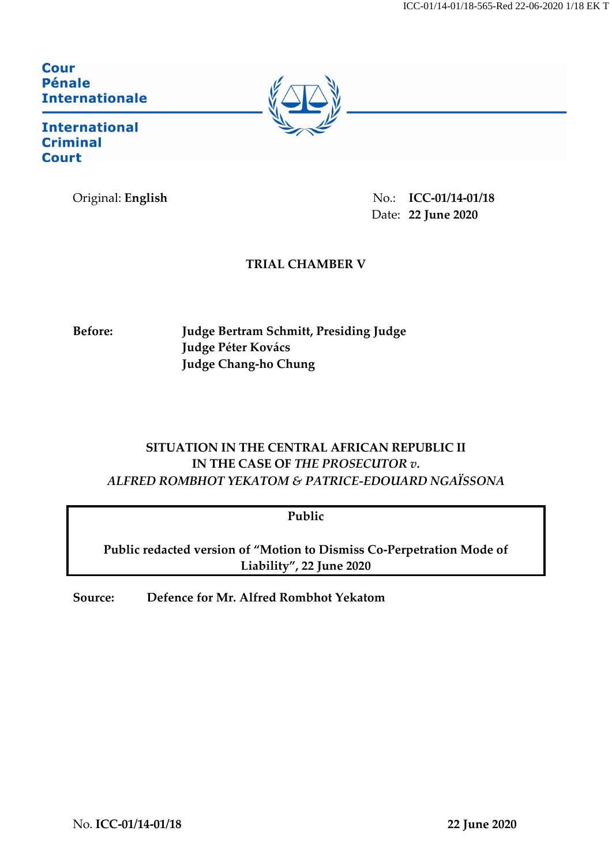### **Cour Pénale Internationale**

**International Criminal Court** 

Original: **English** No.: **ICC-01/14-01/18** Date: **22 June 2020**

## **TRIAL CHAMBER V**

**Before: Judge Bertram Schmitt, Presiding Judge Judge Péter Kovács Judge Chang-ho Chung**

# **SITUATION IN THE CENTRAL AFRICAN REPUBLIC II IN THE CASE OF** *THE PROSECUTOR v. ALFRED ROMBHOT YEKATOM & PATRICE-EDOUARD NGAÏSSONA*

**Public**

**Public redacted version of "Motion to Dismiss Co-Perpetration Mode of Liability", 22 June 2020**

**Source: Defence for Mr. Alfred Rombhot Yekatom**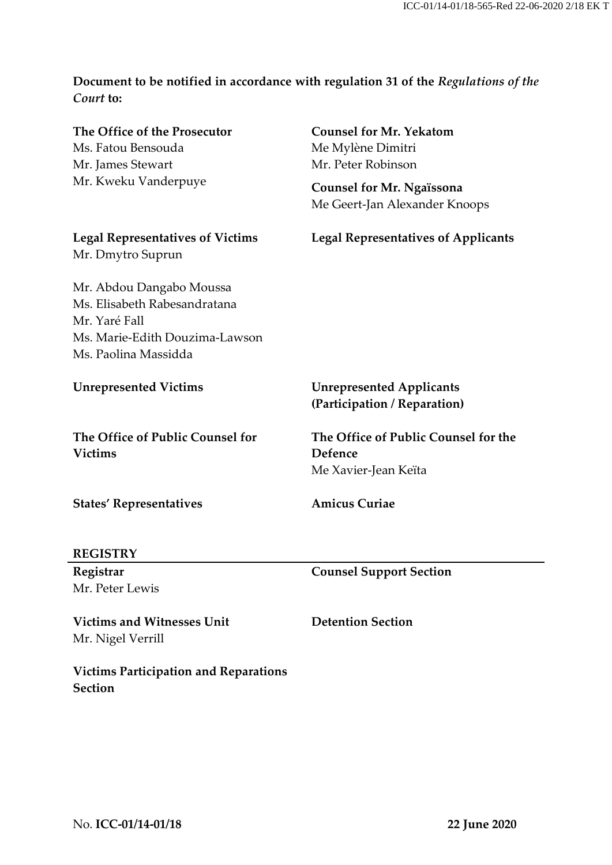# **Document to be notified in accordance with regulation 31 of the** *Regulations of the Court* **to:**

| The Office of the Prosecutor<br>Ms. Fatou Bensouda<br>Mr. James Stewart<br>Mr. Kweku Vanderpuye                                     | <b>Counsel for Mr. Yekatom</b><br>Me Mylène Dimitri<br>Mr. Peter Robinson<br><b>Counsel for Mr. Ngaïssona</b><br>Me Geert-Jan Alexander Knoops |  |
|-------------------------------------------------------------------------------------------------------------------------------------|------------------------------------------------------------------------------------------------------------------------------------------------|--|
| <b>Legal Representatives of Victims</b><br>Mr. Dmytro Suprun                                                                        | <b>Legal Representatives of Applicants</b>                                                                                                     |  |
| Mr. Abdou Dangabo Moussa<br>Ms. Elisabeth Rabesandratana<br>Mr. Yaré Fall<br>Ms. Marie-Edith Douzima-Lawson<br>Ms. Paolina Massidda |                                                                                                                                                |  |
| <b>Unrepresented Victims</b>                                                                                                        | <b>Unrepresented Applicants</b><br>(Participation / Reparation)                                                                                |  |
| The Office of Public Counsel for<br><b>Victims</b>                                                                                  | The Office of Public Counsel for the<br>Defence<br>Me Xavier-Jean Keïta                                                                        |  |
| <b>States' Representatives</b>                                                                                                      | <b>Amicus Curiae</b>                                                                                                                           |  |
| REGISTRY                                                                                                                            |                                                                                                                                                |  |
| Registrar<br>Mr. Peter Lewis                                                                                                        | <b>Counsel Support Section</b>                                                                                                                 |  |
| <b>Victims and Witnesses Unit</b><br>Mr. Nigel Verrill                                                                              | <b>Detention Section</b>                                                                                                                       |  |

**Victims Participation and Reparations Section**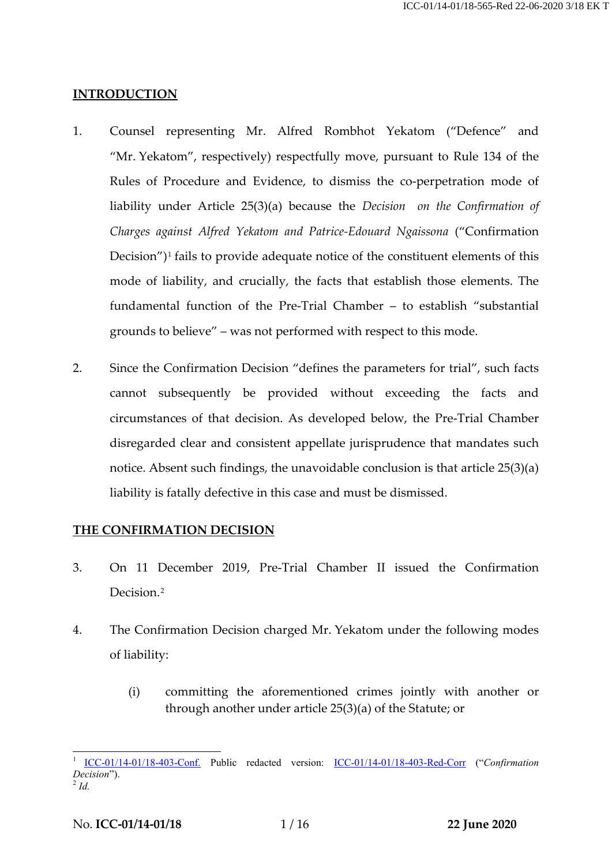#### **INTRODUCTION**

- 1. Counsel representing Mr. Alfred Rombhot Yekatom ("Defence" and "Mr. Yekatom", respectively) respectfully move, pursuant to Rule 134 of the Rules of Procedure and Evidence, to dismiss the co-perpetration mode of liability under Article 25(3)(a) because the *Decision on the Confirmation of Charges against Alfred Yekatom and Patrice-Edouard Ngaissona* ("Confirmation Decision")<sup>[1](#page-2-0)</sup> fails to provide adequate notice of the constituent elements of this mode of liability, and crucially, the facts that establish those elements. The fundamental function of the Pre-Trial Chamber – to establish "substantial grounds to believe" – was not performed with respect to this mode.
- 2. Since the Confirmation Decision "defines the parameters for trial", such facts cannot subsequently be provided without exceeding the facts and circumstances of that decision. As developed below, the Pre-Trial Chamber disregarded clear and consistent appellate jurisprudence that mandates such notice. Absent such findings, the unavoidable conclusion is that article 25(3)(a) liability is fatally defective in this case and must be dismissed.

#### **THE CONFIRMATION DECISION**

- 3. On 11 December 2019, Pre-Trial Chamber II issued the Confirmation Decision<sup>[2](#page-2-1)</sup>
- 4. The Confirmation Decision charged Mr. Yekatom under the following modes of liability:
	- (i) committing the aforementioned crimes jointly with another or through another under article 25(3)(a) of the Statute; or

<span id="page-2-1"></span><span id="page-2-0"></span> <sup>1</sup> [ICC-01/14-01/18-403-Conf.](https://edms.icc.int/RMWebDrawer/RecordView/2685079) Public redacted version: [ICC-01/14-01/18-403-Red-Corr](https://www.icc-cpi.int/CourtRecords/CR2020_01948.PDF) ("*Confirmation Decision*"). <sup>2</sup> *Id.*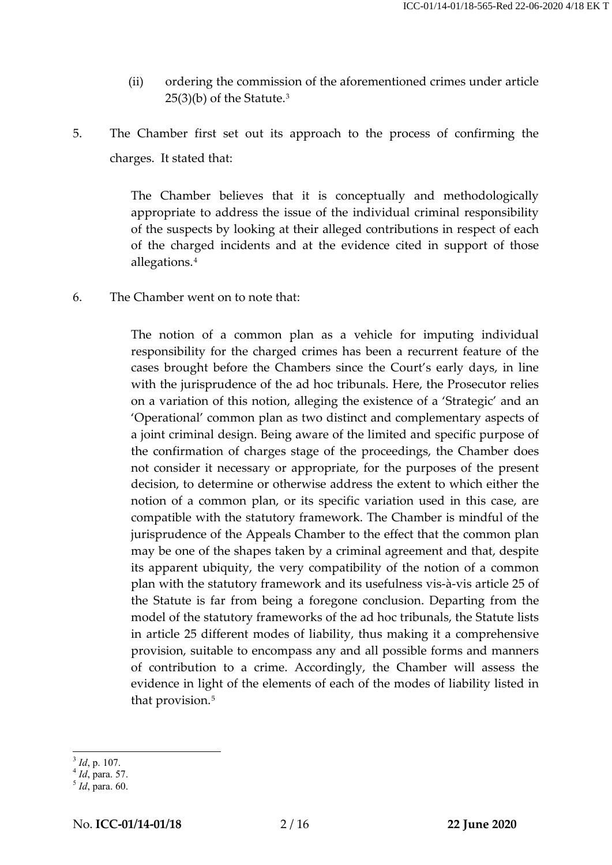- (ii) ordering the commission of the aforementioned crimes under article 25(3)(b) of the Statute. [3](#page-3-0)
- 5. The Chamber first set out its approach to the process of confirming the charges. It stated that:

The Chamber believes that it is conceptually and methodologically appropriate to address the issue of the individual criminal responsibility of the suspects by looking at their alleged contributions in respect of each of the charged incidents and at the evidence cited in support of those allegations.[4](#page-3-1)

6. The Chamber went on to note that:

The notion of a common plan as a vehicle for imputing individual responsibility for the charged crimes has been a recurrent feature of the cases brought before the Chambers since the Court's early days, in line with the jurisprudence of the ad hoc tribunals. Here, the Prosecutor relies on a variation of this notion, alleging the existence of a 'Strategic' and an 'Operational' common plan as two distinct and complementary aspects of a joint criminal design. Being aware of the limited and specific purpose of the confirmation of charges stage of the proceedings, the Chamber does not consider it necessary or appropriate, for the purposes of the present decision, to determine or otherwise address the extent to which either the notion of a common plan, or its specific variation used in this case, are compatible with the statutory framework. The Chamber is mindful of the jurisprudence of the Appeals Chamber to the effect that the common plan may be one of the shapes taken by a criminal agreement and that, despite its apparent ubiquity, the very compatibility of the notion of a common plan with the statutory framework and its usefulness vis-à-vis article 25 of the Statute is far from being a foregone conclusion. Departing from the model of the statutory frameworks of the ad hoc tribunals, the Statute lists in article 25 different modes of liability, thus making it a comprehensive provision, suitable to encompass any and all possible forms and manners of contribution to a crime. Accordingly, the Chamber will assess the evidence in light of the elements of each of the modes of liability listed in that provision.<sup>[5](#page-3-2)</sup>

<span id="page-3-2"></span><span id="page-3-1"></span>

<span id="page-3-0"></span><sup>3</sup> *Id*, p. 107. <sup>4</sup> *Id*, para. 57. <sup>5</sup> *Id*, para. 60.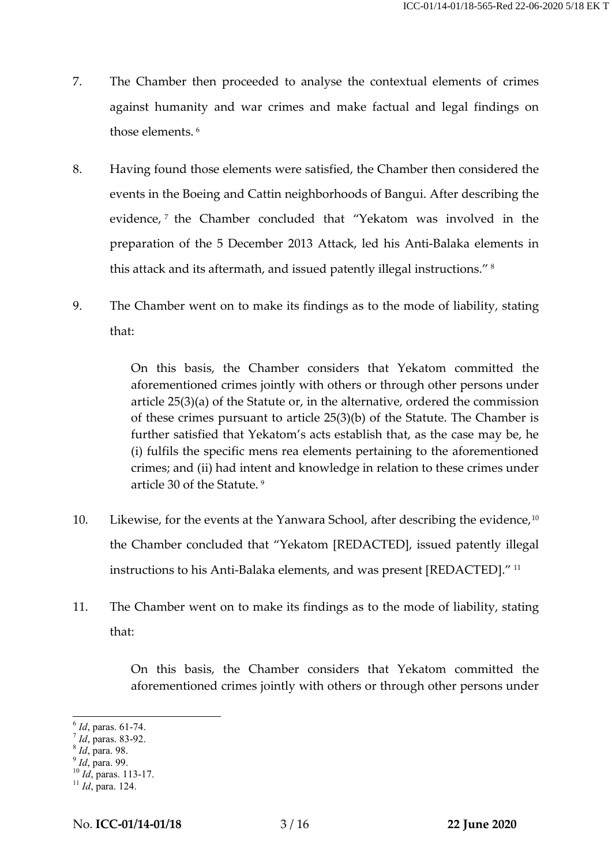- 7. The Chamber then proceeded to analyse the contextual elements of crimes against humanity and war crimes and make factual and legal findings on those elements. [6](#page-4-0)
- 8. Having found those elements were satisfied, the Chamber then considered the events in the Boeing and Cattin neighborhoods of Bangui. After describing the evidence,<sup>[7](#page-4-1)</sup> the Chamber concluded that "Yekatom was involved in the preparation of the 5 December 2013 Attack, led his Anti-Balaka elements in this attack and its aftermath, and issued patently illegal instructions." [8](#page-4-2)
- 9. The Chamber went on to make its findings as to the mode of liability, stating that:

On this basis, the Chamber considers that Yekatom committed the aforementioned crimes jointly with others or through other persons under article 25(3)(a) of the Statute or, in the alternative, ordered the commission of these crimes pursuant to article 25(3)(b) of the Statute. The Chamber is further satisfied that Yekatom's acts establish that, as the case may be, he (i) fulfils the specific mens rea elements pertaining to the aforementioned crimes; and (ii) had intent and knowledge in relation to these crimes under article 30 of the Statute. [9](#page-4-3)

- [10](#page-4-4). Likewise, for the events at the Yanwara School, after describing the evidence,  $10$ the Chamber concluded that "Yekatom [REDACTED], issued patently illegal instructions to his Anti-Balaka elements, and was present [REDACTED]." [11](#page-4-5)
- 11. The Chamber went on to make its findings as to the mode of liability, stating that:

On this basis, the Chamber considers that Yekatom committed the aforementioned crimes jointly with others or through other persons under

<span id="page-4-1"></span>

<span id="page-4-3"></span><span id="page-4-2"></span>

<span id="page-4-4"></span>

<span id="page-4-0"></span><sup>6</sup> *Id*, paras. 61-74.<br>
<sup>7</sup> *Id*, para. 83-92.<br>
<sup>8</sup> *Id*, para. 99.<br>
<sup>10</sup> *Id*, paras. 113-17.<br>
<sup>11</sup> *Id*, para. 124.

<span id="page-4-5"></span>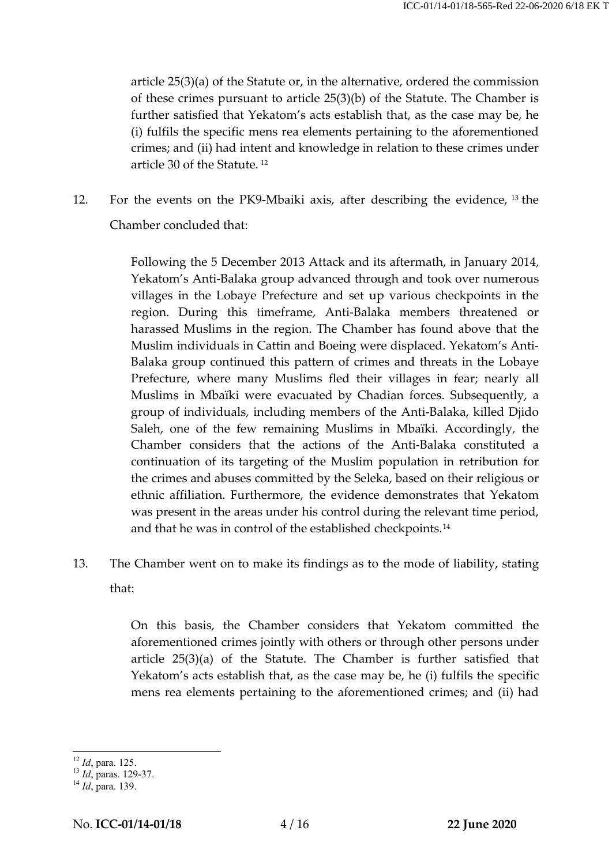article 25(3)(a) of the Statute or, in the alternative, ordered the commission of these crimes pursuant to article 25(3)(b) of the Statute. The Chamber is further satisfied that Yekatom's acts establish that, as the case may be, he (i) fulfils the specific mens rea elements pertaining to the aforementioned crimes; and (ii) had intent and knowledge in relation to these crimes under article 30 of the Statute. [12](#page-5-0)

12. For the events on the PK9-Mbaiki axis, after describing the evidence, [13](#page-5-1) the Chamber concluded that:

> Following the 5 December 2013 Attack and its aftermath, in January 2014, Yekatom's Anti-Balaka group advanced through and took over numerous villages in the Lobaye Prefecture and set up various checkpoints in the region. During this timeframe, Anti-Balaka members threatened or harassed Muslims in the region. The Chamber has found above that the Muslim individuals in Cattin and Boeing were displaced. Yekatom's Anti-Balaka group continued this pattern of crimes and threats in the Lobaye Prefecture, where many Muslims fled their villages in fear; nearly all Muslims in Mbaïki were evacuated by Chadian forces. Subsequently, a group of individuals, including members of the Anti-Balaka, killed Djido Saleh, one of the few remaining Muslims in Mbaïki. Accordingly, the Chamber considers that the actions of the Anti-Balaka constituted a continuation of its targeting of the Muslim population in retribution for the crimes and abuses committed by the Seleka, based on their religious or ethnic affiliation. Furthermore, the evidence demonstrates that Yekatom was present in the areas under his control during the relevant time period, and that he was in control of the established checkpoints.[14](#page-5-2)

13. The Chamber went on to make its findings as to the mode of liability, stating that:

> On this basis, the Chamber considers that Yekatom committed the aforementioned crimes jointly with others or through other persons under article 25(3)(a) of the Statute. The Chamber is further satisfied that Yekatom's acts establish that, as the case may be, he (i) fulfils the specific mens rea elements pertaining to the aforementioned crimes; and (ii) had

<span id="page-5-1"></span><span id="page-5-0"></span><sup>12</sup> *Id*, para. 125. <sup>13</sup> *Id*, paras. 129-37. <sup>14</sup> *Id*, para. 139.

<span id="page-5-2"></span>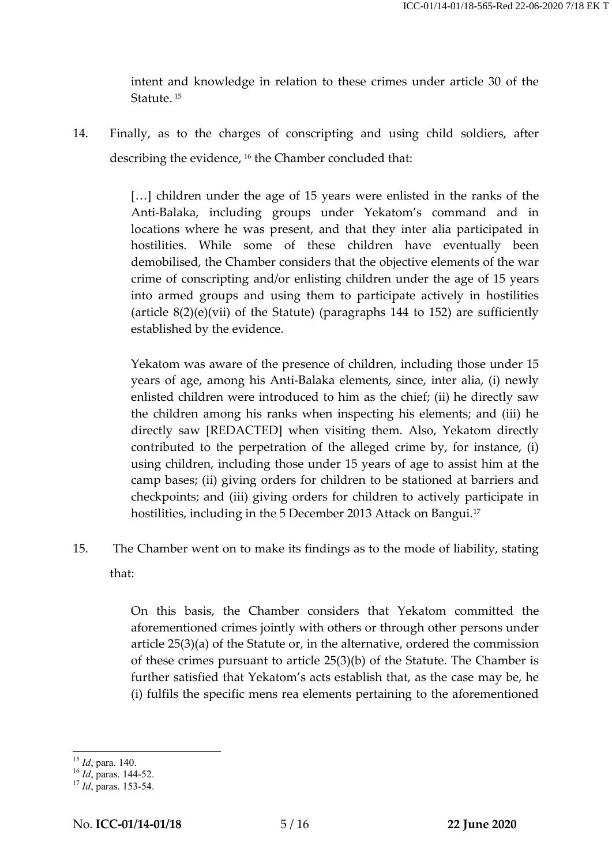intent and knowledge in relation to these crimes under article 30 of the Statute.<sup>[15](#page-6-0)</sup>

14. Finally, as to the charges of conscripting and using child soldiers, after describing the evidence, <sup>[16](#page-6-1)</sup> the Chamber concluded that:

> [...] children under the age of 15 years were enlisted in the ranks of the Anti-Balaka, including groups under Yekatom's command and in locations where he was present, and that they inter alia participated in hostilities. While some of these children have eventually been demobilised, the Chamber considers that the objective elements of the war crime of conscripting and/or enlisting children under the age of 15 years into armed groups and using them to participate actively in hostilities (article 8(2)(e)(vii) of the Statute) (paragraphs 144 to 152) are sufficiently established by the evidence.

> Yekatom was aware of the presence of children, including those under 15 years of age, among his Anti-Balaka elements, since, inter alia, (i) newly enlisted children were introduced to him as the chief; (ii) he directly saw the children among his ranks when inspecting his elements; and (iii) he directly saw [REDACTED] when visiting them. Also, Yekatom directly contributed to the perpetration of the alleged crime by, for instance, (i) using children, including those under 15 years of age to assist him at the camp bases; (ii) giving orders for children to be stationed at barriers and checkpoints; and (iii) giving orders for children to actively participate in hostilities, including in the 5 December 2013 Attack on Bangui.<sup>[17](#page-6-2)</sup>

15. The Chamber went on to make its findings as to the mode of liability, stating that:

> On this basis, the Chamber considers that Yekatom committed the aforementioned crimes jointly with others or through other persons under article 25(3)(a) of the Statute or, in the alternative, ordered the commission of these crimes pursuant to article 25(3)(b) of the Statute. The Chamber is further satisfied that Yekatom's acts establish that, as the case may be, he (i) fulfils the specific mens rea elements pertaining to the aforementioned

<span id="page-6-1"></span><span id="page-6-0"></span><sup>&</sup>lt;sup>15</sup> *Id*, para. 140.<br><sup>16</sup> *Id*, paras. 144-52.<br><sup>17</sup> *Id*, paras. 153-54.

<span id="page-6-2"></span>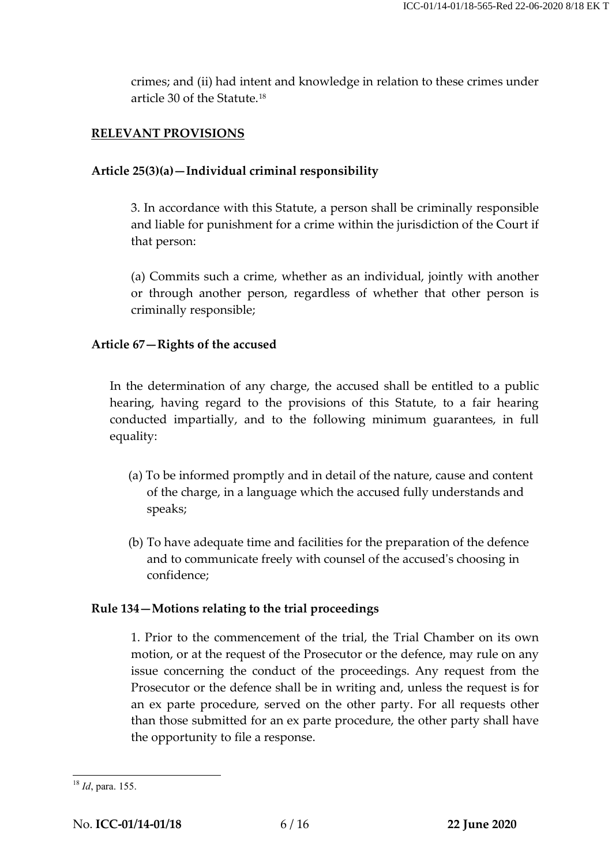crimes; and (ii) had intent and knowledge in relation to these crimes under article 30 of the Statute.[18](#page-7-0)

### **RELEVANT PROVISIONS**

#### **Article 25(3)(a)—Individual criminal responsibility**

3. In accordance with this Statute, a person shall be criminally responsible and liable for punishment for a crime within the jurisdiction of the Court if that person:

(a) Commits such a crime, whether as an individual, jointly with another or through another person, regardless of whether that other person is criminally responsible;

#### **Article 67—Rights of the accused**

In the determination of any charge, the accused shall be entitled to a public hearing, having regard to the provisions of this Statute, to a fair hearing conducted impartially, and to the following minimum guarantees, in full equality:

- (a) To be informed promptly and in detail of the nature, cause and content of the charge, in a language which the accused fully understands and speaks;
- (b) To have adequate time and facilities for the preparation of the defence and to communicate freely with counsel of the accused's choosing in confidence;

#### **Rule 134—Motions relating to the trial proceedings**

1. Prior to the commencement of the trial, the Trial Chamber on its own motion, or at the request of the Prosecutor or the defence, may rule on any issue concerning the conduct of the proceedings. Any request from the Prosecutor or the defence shall be in writing and, unless the request is for an ex parte procedure, served on the other party. For all requests other than those submitted for an ex parte procedure, the other party shall have the opportunity to file a response.

<span id="page-7-0"></span> <sup>18</sup> *Id*, para. 155.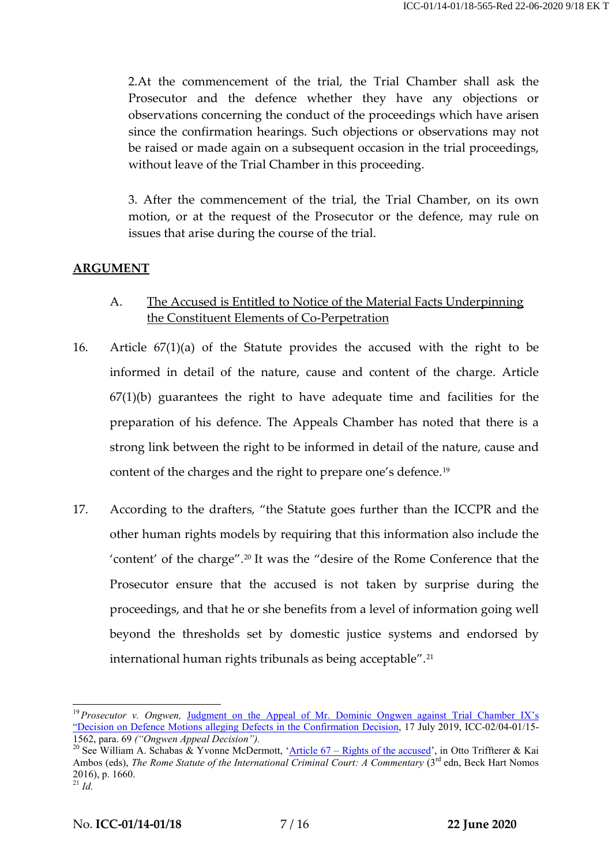2.At the commencement of the trial, the Trial Chamber shall ask the Prosecutor and the defence whether they have any objections or observations concerning the conduct of the proceedings which have arisen since the confirmation hearings. Such objections or observations may not be raised or made again on a subsequent occasion in the trial proceedings, without leave of the Trial Chamber in this proceeding.

3. After the commencement of the trial, the Trial Chamber, on its own motion, or at the request of the Prosecutor or the defence, may rule on issues that arise during the course of the trial.

#### **ARGUMENT**

- A. The Accused is Entitled to Notice of the Material Facts Underpinning the Constituent Elements of Co-Perpetration
- 16. Article 67(1)(a) of the Statute provides the accused with the right to be informed in detail of the nature, cause and content of the charge. Article  $67(1)(b)$  guarantees the right to have adequate time and facilities for the preparation of his defence. The Appeals Chamber has noted that there is a strong link between the right to be informed in detail of the nature, cause and content of the charges and the right to prepare one's defence.[19](#page-8-0)
- 17. According to the drafters, "the Statute goes further than the ICCPR and the other human rights models by requiring that this information also include the 'content' of the charge". [20](#page-8-1) It was the "desire of the Rome Conference that the Prosecutor ensure that the accused is not taken by surprise during the proceedings, and that he or she benefits from a level of information going well beyond the thresholds set by domestic justice systems and endorsed by international human rights tribunals as being acceptable".<sup>[21](#page-8-2)</sup>

<span id="page-8-0"></span><sup>&</sup>lt;sup>19</sup> Prosecutor v. Ongwen, Judgment on the Appeal of Mr. Dominic Ongwen against Trial Chamber IX's ["Decision on Defence Motions alleging Defects in the Confirmation Decision,](https://www.icc-cpi.int/CourtRecords/CR2019_03885.PDF) 17 July 2019, ICC-02/04-01/15-

<span id="page-8-2"></span><span id="page-8-1"></span><sup>1562,</sup> para. 69 *("Ongwen Appeal Decision")*.<br><sup>20</sup> See William A. Schabas & Yvonne McDermott, 'Article 67 – [Rights of the accused'](https://www.researchgate.net/publication/303960247_Article_67_Rights_of_the_Accused), in Otto Triffterer & Kai Ambos (eds), *The Rome Statute of the International Criminal Court: A Commentary* (3<sup>rd</sup> edn, Beck Hart Nomos 2016), p. 1660.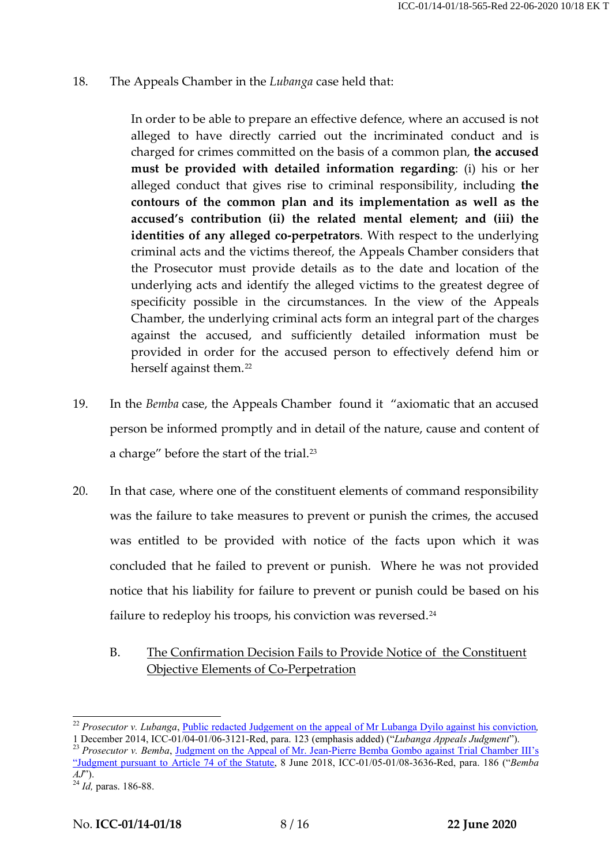18. The Appeals Chamber in the *Lubanga* case held that:

In order to be able to prepare an effective defence, where an accused is not alleged to have directly carried out the incriminated conduct and is charged for crimes committed on the basis of a common plan, **the accused must be provided with detailed information regarding**: (i) his or her alleged conduct that gives rise to criminal responsibility, including **the contours of the common plan and its implementation as well as the accused's contribution (ii) the related mental element; and (iii) the identities of any alleged co-perpetrators**. With respect to the underlying criminal acts and the victims thereof, the Appeals Chamber considers that the Prosecutor must provide details as to the date and location of the underlying acts and identify the alleged victims to the greatest degree of specificity possible in the circumstances. In the view of the Appeals Chamber, the underlying criminal acts form an integral part of the charges against the accused, and sufficiently detailed information must be provided in order for the accused person to effectively defend him or herself against them.<sup>[22](#page-9-0)</sup>

- 19. In the *Bemba* case, the Appeals Chamber found it "axiomatic that an accused person be informed promptly and in detail of the nature, cause and content of a charge" before the start of the trial.<sup>[23](#page-9-1)</sup>
- 20. In that case, where one of the constituent elements of command responsibility was the failure to take measures to prevent or punish the crimes, the accused was entitled to be provided with notice of the facts upon which it was concluded that he failed to prevent or punish. Where he was not provided notice that his liability for failure to prevent or punish could be based on his failure to redeploy his troops, his conviction was reversed.<sup>[24](#page-9-2)</sup>
	- B. The Confirmation Decision Fails to Provide Notice of the Constituent Objective Elements of Co-Perpetration

<span id="page-9-0"></span><sup>&</sup>lt;sup>22</sup> *Prosecutor v. Lubanga*, *[Public redacted Judgement on the appeal of Mr Lubanga Dyilo against his conviction](https://www.icc-cpi.int/CourtRecords/CR2014_09844.PDF)*, 1 December 2014, ICC-01/04-01/06-3121-Red, para. 123 (emphasis added) ("Lubanga Appeals Judgment").

<span id="page-9-1"></span><sup>&</sup>lt;sup>23</sup> Prosecutor v. Bemba, [Judgment on the Appeal of Mr. Jean-Pierre Bemba Gombo](https://www.icc-cpi.int/CourtRecords/CR2018_02984.PDF) against Trial Chamber III's ["Judgment pursuant to Article 74 of the Statute,](https://www.icc-cpi.int/CourtRecords/CR2018_02984.PDF) 8 June 2018, ICC-01/05-01/08-3636-Red, para. 186 ("*Bemba AJ*"). <sup>24</sup> *Id,* paras. 186-88.

<span id="page-9-2"></span>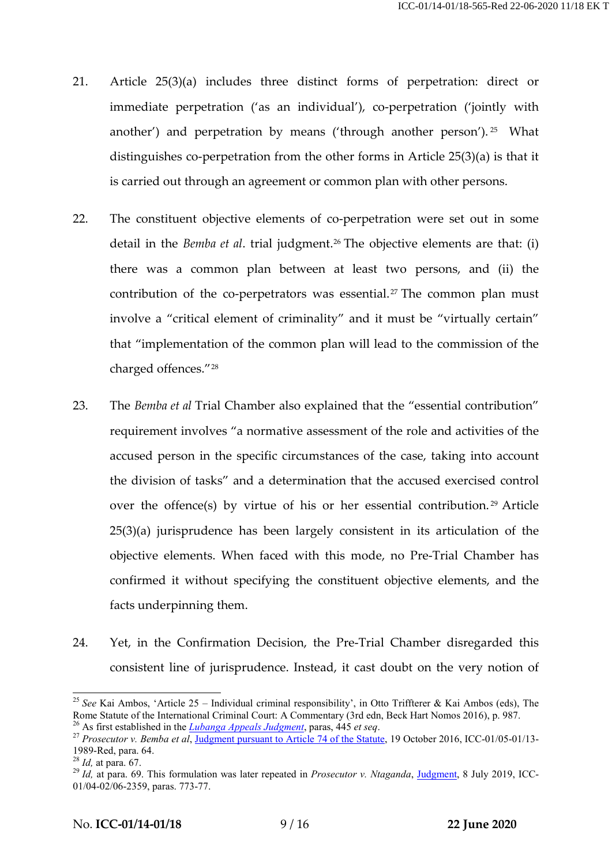- 21. Article 25(3)(a) includes three distinct forms of perpetration: direct or immediate perpetration ('as an individual'), co-perpetration ('jointly with another') and perpetration by means ('through another person'). <sup>[25](#page-10-0)</sup> What distinguishes co-perpetration from the other forms in Article 25(3)(a) is that it is carried out through an agreement or common plan with other persons.
- 22. The constituent objective elements of co-perpetration were set out in some detail in the *Bemba et al.* trial judgment.<sup>[26](#page-10-1)</sup> The objective elements are that: (i) there was a common plan between at least two persons, and (ii) the contribution of the co-perpetrators was essential.<sup>[27](#page-10-2)</sup> The common plan must involve a "critical element of criminality" and it must be "virtually certain" that "implementation of the common plan will lead to the commission of the charged offences."[28](#page-10-3)
- 23. The *Bemba et al* Trial Chamber also explained that the "essential contribution" requirement involves "a normative assessment of the role and activities of the accused person in the specific circumstances of the case, taking into account the division of tasks" and a determination that the accused exercised control over the offence(s) by virtue of his or her essential contribution.<sup>[29](#page-10-4)</sup> Article 25(3)(a) jurisprudence has been largely consistent in its articulation of the objective elements. When faced with this mode, no Pre-Trial Chamber has confirmed it without specifying the constituent objective elements, and the facts underpinning them.
- 24. Yet, in the Confirmation Decision, the Pre-Trial Chamber disregarded this consistent line of jurisprudence. Instead, it cast doubt on the very notion of

<span id="page-10-0"></span><sup>&</sup>lt;sup>25</sup> *See* Kai Ambos, 'Article 25 – Individual criminal responsibility', in Otto Triffterer & Kai Ambos (eds), The Rome Statute of the International Criminal Court: A Commentary (3rd edn, Beck Hart Nomos 2016), p. 987.

<span id="page-10-2"></span><span id="page-10-1"></span><sup>26</sup> As first established in the *[Lubanga Appeals Judgment](https://www.icc-cpi.int/CourtRecords/CR2014_09844.PDF)*, paras,  $\frac{445}{45}$  *et seq.*<br><sup>27</sup> Prosecutor v. Bemba et al, <u>Judgment pursuant to Article 74 of the Statute</u>, 19 October 2016, ICC-01/05-01/13-<br>1989-Red, para.

<span id="page-10-4"></span>

<span id="page-10-3"></span><sup>&</sup>lt;sup>28</sup> *Id*, at para. 67. <sup>28</sup> *Id*, at para. 67. <br><sup>29</sup> *Id*, at para. 69. This formulation was later repeated in *Prosecutor v. Ntaganda*, *Judgment*, 8 July 2019, ICC-01/04-02/06-2359, paras. 773-77.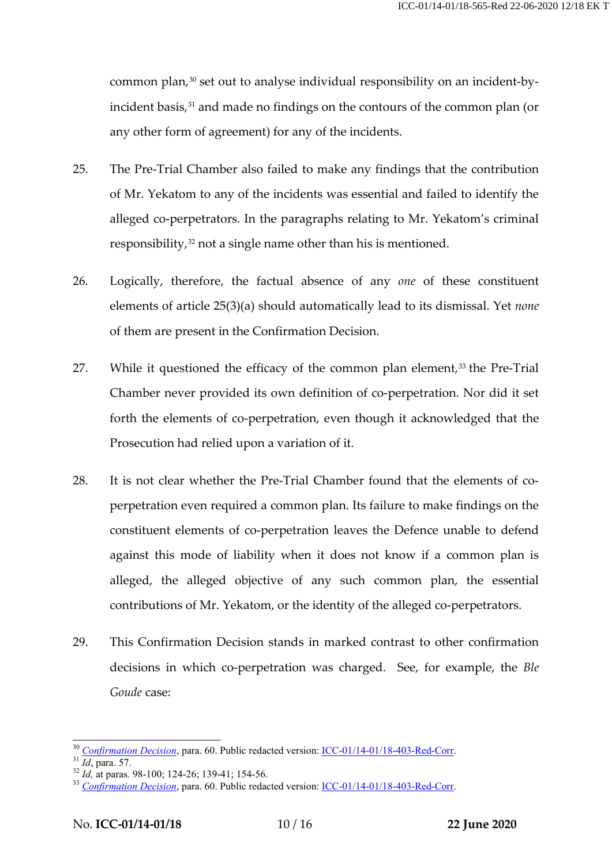common plan,<sup>[30](#page-11-0)</sup> set out to analyse individual responsibility on an incident-by-incident basis,<sup>[31](#page-11-1)</sup> and made no findings on the contours of the common plan (or any other form of agreement) for any of the incidents.

- 25. The Pre-Trial Chamber also failed to make any findings that the contribution of Mr. Yekatom to any of the incidents was essential and failed to identify the alleged co-perpetrators. In the paragraphs relating to Mr. Yekatom's criminal responsibility, $32$  not a single name other than his is mentioned.
- 26. Logically, therefore, the factual absence of any *one* of these constituent elements of article 25(3)(a) should automatically lead to its dismissal. Yet *none* of them are present in the Confirmation Decision.
- 27. While it questioned the efficacy of the common plan element, $33$  the Pre-Trial Chamber never provided its own definition of co-perpetration. Nor did it set forth the elements of co-perpetration, even though it acknowledged that the Prosecution had relied upon a variation of it.
- 28. It is not clear whether the Pre-Trial Chamber found that the elements of coperpetration even required a common plan. Its failure to make findings on the constituent elements of co-perpetration leaves the Defence unable to defend against this mode of liability when it does not know if a common plan is alleged, the alleged objective of any such common plan, the essential contributions of Mr. Yekatom, or the identity of the alleged co-perpetrators.
- 29. This Confirmation Decision stands in marked contrast to other confirmation decisions in which co-perpetration was charged. See, for example, the *Ble Goude* case:

<span id="page-11-0"></span><sup>&</sup>lt;sup>30</sup> [Confirmation Decision](https://edms.icc.int/RMWebDrawer/RecordView/2685079), para. 60. Public redacted version: <u>ICC-01/14-01/18-403-Red-Corr</u>.<br><sup>31</sup> Id, para. 57.<br><sup>32</sup> Id, at paras. 98-100; 124-26; 139-41; 154-56.<br><sup>33</sup> Confirmation Decision, para. 60. Public redacted ve

<span id="page-11-1"></span>

<span id="page-11-2"></span>

<span id="page-11-3"></span>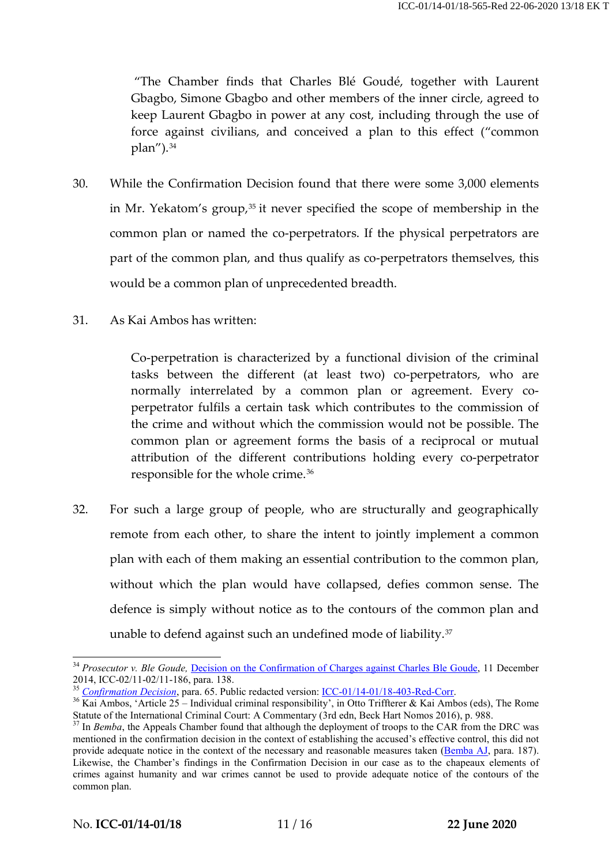"The Chamber finds that Charles Blé Goudé, together with Laurent Gbagbo, Simone Gbagbo and other members of the inner circle, agreed to keep Laurent Gbagbo in power at any cost, including through the use of force against civilians, and conceived a plan to this effect ("common  $plan'$ ).  $34$ 

- 30. While the Confirmation Decision found that there were some 3,000 elements in Mr. Yekatom's group,<sup>[35](#page-12-1)</sup> it never specified the scope of membership in the common plan or named the co-perpetrators. If the physical perpetrators are part of the common plan, and thus qualify as co-perpetrators themselves, this would be a common plan of unprecedented breadth.
- 31. As Kai Ambos has written:

Co-perpetration is characterized by a functional division of the criminal tasks between the different (at least two) co-perpetrators, who are normally interrelated by a common plan or agreement. Every coperpetrator fulfils a certain task which contributes to the commission of the crime and without which the commission would not be possible. The common plan or agreement forms the basis of a reciprocal or mutual attribution of the different contributions holding every co-perpetrator responsible for the whole crime.[36](#page-12-2)

32. For such a large group of people, who are structurally and geographically remote from each other, to share the intent to jointly implement a common plan with each of them making an essential contribution to the common plan, without which the plan would have collapsed, defies common sense. The defence is simply without notice as to the contours of the common plan and unable to defend against such an undefined mode of liability.<sup>[37](#page-12-3)</sup>

<span id="page-12-0"></span><sup>&</sup>lt;sup>34</sup> *Prosecutor v. Ble Goude,* [Decision on the Confirmation of Charges against Charles Ble Goude,](https://www.icc-cpi.int/CourtRecords/CR2015_05444.PDF) 11 December 2014, ICC-02/11-02/11-186, para. 138.

<span id="page-12-2"></span><span id="page-12-1"></span>

<sup>&</sup>lt;sup>35</sup> [Confirmation Decision](https://edms.icc.int/RMWebDrawer/RecordView/2685079), para. 65. Public redacted version: <u>ICC-01/14-01/18-403-Red-Corr</u>.<br><sup>36</sup> Kai Ambos, 'Article 25 – Individual criminal responsibility', in Otto Triffterer & Kai Ambos (eds), The Rome<br>Statute of t

<span id="page-12-3"></span>Statute of the International Criminal Court: A Commentary (3rd edge), p. 98. 37 In *Bemba*, the Appeals Chamber found that although the deployment of troops to the CAR from the DRC was mentioned in the confirmation decision in the context of establishing the accused's effective control, this did not provide adequate notice in the context of the necessary and reasonable measures taken [\(Bemba AJ,](https://www.icc-cpi.int/CourtRecords/CR2018_02984.PDF) para. 187). Likewise, the Chamber's findings in the Confirmation Decision in our case as to the chapeaux elements of crimes against humanity and war crimes cannot be used to provide adequate notice of the contours of the common plan.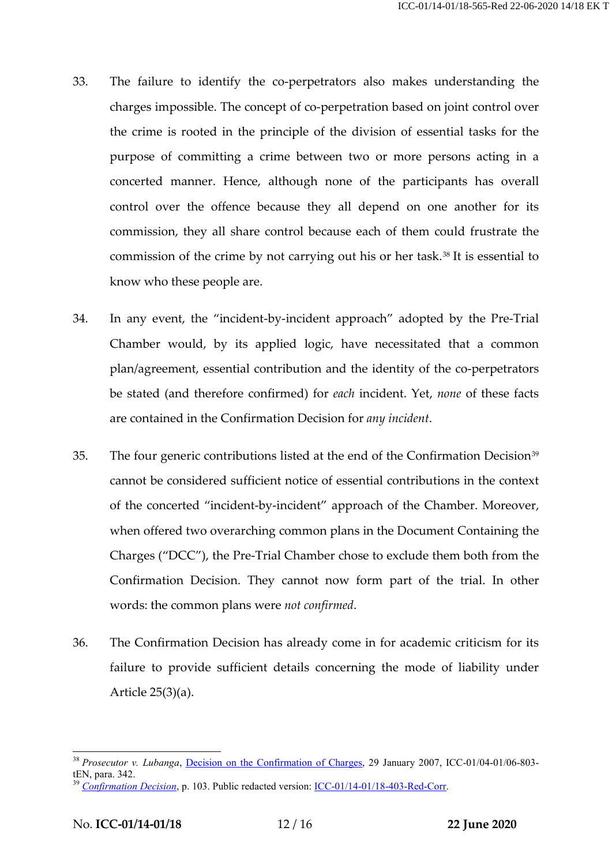- 33. The failure to identify the co-perpetrators also makes understanding the charges impossible. The concept of co-perpetration based on joint control over the crime is rooted in the principle of the division of essential tasks for the purpose of committing a crime between two or more persons acting in a concerted manner. Hence, although none of the participants has overall control over the offence because they all depend on one another for its commission, they all share control because each of them could frustrate the commission of the crime by not carrying out his or her task.[38](#page-13-0) It is essential to know who these people are.
- 34. In any event, the "incident-by-incident approach" adopted by the Pre-Trial Chamber would, by its applied logic, have necessitated that a common plan/agreement, essential contribution and the identity of the co-perpetrators be stated (and therefore confirmed) for *each* incident. Yet, *none* of these facts are contained in the Confirmation Decision for *any incident*.
- 35. The four generic contributions listed at the end of the Confirmation Decision<sup>[39](#page-13-1)</sup> cannot be considered sufficient notice of essential contributions in the context of the concerted "incident-by-incident" approach of the Chamber. Moreover, when offered two overarching common plans in the Document Containing the Charges ("DCC"), the Pre-Trial Chamber chose to exclude them both from the Confirmation Decision. They cannot now form part of the trial. In other words: the common plans were *not confirmed*.
- 36. The Confirmation Decision has already come in for academic criticism for its failure to provide sufficient details concerning the mode of liability under Article 25(3)(a).

<span id="page-13-0"></span><sup>&</sup>lt;sup>38</sup> Prosecutor v. Lubanga, [Decision on the Confirmation](https://www.icc-cpi.int/CourtRecords/CR2007_02360.PDF) of Charges, 29 January 2007, ICC-01/04-01/06-803tEN, para. 342.<br><sup>39</sup> *[Confirmation Decision](https://edms.icc.int/RMWebDrawer/RecordView/2685079)*, p. 103. Public redacted version: <u>ICC-01/14-01/18-403-Red-Corr</u>.

<span id="page-13-1"></span>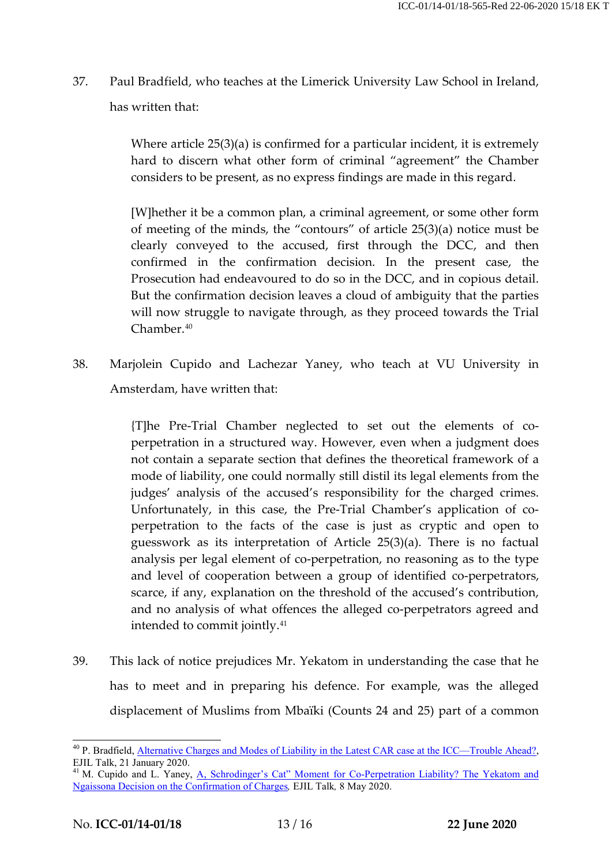37. Paul Bradfield, who teaches at the Limerick University Law School in Ireland, has written that:

> Where article 25(3)(a) is confirmed for a particular incident, it is extremely hard to discern what other form of criminal "agreement" the Chamber considers to be present, as no express findings are made in this regard.

> [W]hether it be a common plan, a criminal agreement, or some other form of meeting of the minds, the "contours" of article 25(3)(a) notice must be clearly conveyed to the accused, first through the DCC, and then confirmed in the confirmation decision. In the present case, the Prosecution had endeavoured to do so in the DCC, and in copious detail. But the confirmation decision leaves a cloud of ambiguity that the parties will now struggle to navigate through, as they proceed towards the Trial Chamber. [40](#page-14-0)

38. Marjolein Cupido and Lachezar Yaney, who teach at VU University in Amsterdam, have written that:

> {T]he Pre-Trial Chamber neglected to set out the elements of coperpetration in a structured way. However, even when a judgment does not contain a separate section that defines the theoretical framework of a mode of liability, one could normally still distil its legal elements from the judges' analysis of the accused's responsibility for the charged crimes. Unfortunately, in this case, the Pre-Trial Chamber's application of coperpetration to the facts of the case is just as cryptic and open to guesswork as its interpretation of Article 25(3)(a). There is no factual analysis per legal element of co-perpetration, no reasoning as to the type and level of cooperation between a group of identified co-perpetrators, scarce, if any, explanation on the threshold of the accused's contribution, and no analysis of what offences the alleged co-perpetrators agreed and intended to commit jointly.[41](#page-14-1)

39. This lack of notice prejudices Mr. Yekatom in understanding the case that he has to meet and in preparing his defence. For example, was the alleged displacement of Muslims from Mbaïki (Counts 24 and 25) part of a common

<span id="page-14-0"></span> <sup>40</sup> P. Bradfield, [Alternative Charges and Modes of Liability in the Latest CAR case at the ICC—Trouble Ahead?,](https://www.ejiltalk.org/alternative-charges-and-modes-of-liability-in-the-latest-car-case-at-the-icc-trouble-ahead/) EJIL Talk, 21 January 2020.

<span id="page-14-1"></span><sup>&</sup>lt;sup>41</sup> M. Cupido and L. Yaney, A, Schrodinger's Cat" Moment for Co-Perpetration Liability? The Yekatom and [Ngaissona Decision on the Confirmation of Charges](https://www.ejiltalk.org/a-schrodingers-cat-moment-for-co-perpetration-liability-the-yekatom-and-ngaissona-decision-on-the-confirmation-of-charges/)*,* EJIL Talk*,* 8 May 2020.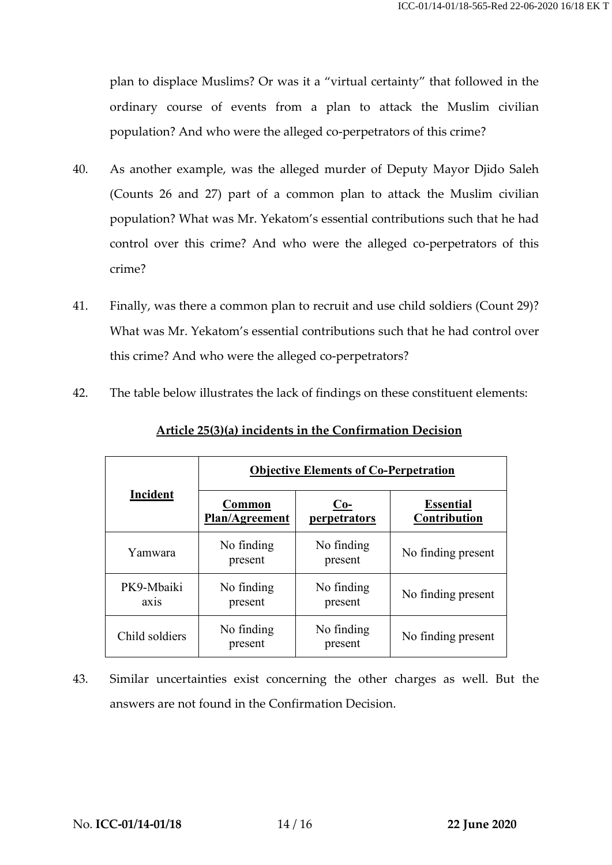plan to displace Muslims? Or was it a "virtual certainty" that followed in the ordinary course of events from a plan to attack the Muslim civilian population? And who were the alleged co-perpetrators of this crime?

- 40. As another example, was the alleged murder of Deputy Mayor Djido Saleh (Counts 26 and 27) part of a common plan to attack the Muslim civilian population? What was Mr. Yekatom's essential contributions such that he had control over this crime? And who were the alleged co-perpetrators of this crime?
- 41. Finally, was there a common plan to recruit and use child soldiers (Count 29)? What was Mr. Yekatom's essential contributions such that he had control over this crime? And who were the alleged co-perpetrators?
- 42. The table below illustrates the lack of findings on these constituent elements:

| <b>Incident</b>                 | <b>Objective Elements of Co-Perpetration</b> |                            |                                  |
|---------------------------------|----------------------------------------------|----------------------------|----------------------------------|
|                                 | Common<br>Plan/Agreement                     | <u>Co-</u><br>perpetrators | <b>Essential</b><br>Contribution |
| Yamwara                         | No finding<br>present                        | No finding<br>present      | No finding present               |
| PK9-Mbaiki<br>ax <sub>1</sub> s | No finding<br>present                        | No finding<br>present      | No finding present               |
| Child soldiers                  | No finding<br>present                        | No finding<br>present      | No finding present               |

### **Article 25(3)(a) incidents in the Confirmation Decision**

43. Similar uncertainties exist concerning the other charges as well. But the answers are not found in the Confirmation Decision.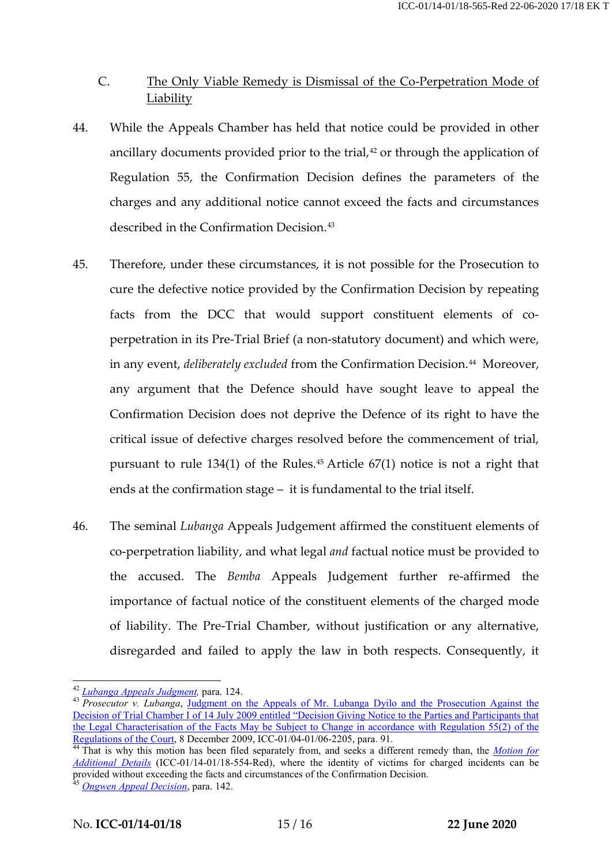## C. The Only Viable Remedy is Dismissal of the Co-Perpetration Mode of **Liability**

- 44. While the Appeals Chamber has held that notice could be provided in other ancillary documents provided prior to the trial, [42](#page-16-0) or through the application of Regulation 55, the Confirmation Decision defines the parameters of the charges and any additional notice cannot exceed the facts and circumstances described in the Confirmation Decision.<sup>[43](#page-16-1)</sup>
- 45. Therefore, under these circumstances, it is not possible for the Prosecution to cure the defective notice provided by the Confirmation Decision by repeating facts from the DCC that would support constituent elements of coperpetration in its Pre-Trial Brief (a non-statutory document) and which were, in any event, *deliberately excluded* from the Confirmation Decision.<sup>[44](#page-16-2)</sup> Moreover, any argument that the Defence should have sought leave to appeal the Confirmation Decision does not deprive the Defence of its right to have the critical issue of defective charges resolved before the commencement of trial, pursuant to rule  $134(1)$  of the Rules.<sup>[45](#page-16-3)</sup> Article  $67(1)$  notice is not a right that ends at the confirmation stage – it is fundamental to the trial itself.
- 46. The seminal *Lubanga* Appeals Judgement affirmed the constituent elements of co-perpetration liability, and what legal *and* factual notice must be provided to the accused. The *Bemba* Appeals Judgement further re-affirmed the importance of factual notice of the constituent elements of the charged mode of liability. The Pre-Trial Chamber, without justification or any alternative, disregarded and failed to apply the law in both respects. Consequently, it

<span id="page-16-1"></span>

<span id="page-16-0"></span><sup>42</sup> *Lubanga Appeals Judgment*, para. 124.<br><sup>43</sup> *Prosecutor v. Lubanga*, Judgment on the Appeals of Mr. Lubanga Dyilo and the Prosecution Against the [Decision of Trial Chamber I of 14 July 2009 entitled "Decision Giving Notice to the Parties and Participants that](https://www.icc-cpi.int/CourtRecords/CR2009_08961.PDF)  [the Legal Characterisation of the Facts May be Subject to Change in accordance with Regulation 55\(2\) of the](https://www.icc-cpi.int/CourtRecords/CR2009_08961.PDF) 

<span id="page-16-2"></span>[Regulations of the Court,](https://www.icc-cpi.int/CourtRecords/CR2009_08961.PDF) 8 December 2009, ICC-01/04-01/06-2205, para. 91. <sup>44</sup> That is why this motion has been filed separately from, and seeks a different remedy than, the *[Motion for](https://www.icc-cpi.int/CourtRecords/CR2020_02446.PDF)  [Additional Details](https://www.icc-cpi.int/CourtRecords/CR2020_02446.PDF)* (ICC-01/14-01/18-554-Red), where the identity of victims for charged incidents can be provided without exceeding the facts and circumstances of the Confirmation Decision.

<span id="page-16-3"></span><sup>45</sup> *Ongwen [Appeal Decision](https://www.icc-cpi.int/CourtRecords/CR2019_03885.PDF)*, para. 142.